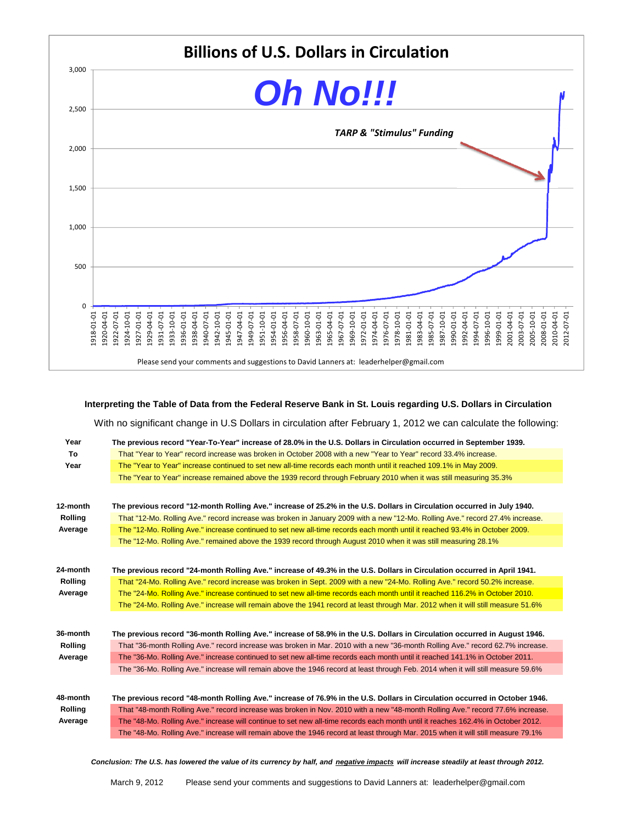

Please send your comments and suggestions to David Lanners at: leaderhelper@gmail.com

**Interpreting the Table of Data from the Federal Reserve Bank in St. Louis regarding U.S. Dollars in Circulation**

With no significant change in U.S Dollars in circulation after February 1, 2012 we can calculate the following:

| Year           | The previous record "Year-To-Year" increase of 28.0% in the U.S. Dollars in Circulation occurred in September 1939.              |
|----------------|----------------------------------------------------------------------------------------------------------------------------------|
| To             | That "Year to Year" record increase was broken in October 2008 with a new "Year to Year" record 33.4% increase.                  |
| Year           | The "Year to Year" increase continued to set new all-time records each month until it reached 109.1% in May 2009.                |
|                | The "Year to Year" increase remained above the 1939 record through February 2010 when it was still measuring 35.3%               |
|                |                                                                                                                                  |
| 12-month       | The previous record "12-month Rolling Ave." increase of 25.2% in the U.S. Dollars in Circulation occurred in July 1940.          |
| <b>Rolling</b> | That "12-Mo. Rolling Ave." record increase was broken in January 2009 with a new "12-Mo. Rolling Ave." record 27.4% increase.    |
| Average        | The "12-Mo. Rolling Ave." increase continued to set new all-time records each month until it reached 93.4% in October 2009.      |
|                | The "12-Mo. Rolling Ave." remained above the 1939 record through August 2010 when it was still measuring 28.1%                   |
|                |                                                                                                                                  |
| 24-month       | The previous record "24-month Rolling Ave." increase of 49.3% in the U.S. Dollars in Circulation occurred in April 1941.         |
| <b>Rolling</b> | That "24-Mo. Rolling Ave." record increase was broken in Sept. 2009 with a new "24-Mo. Rolling Ave." record 50.2% increase.      |
| Average        | The "24-Mo. Rolling Ave." increase continued to set new all-time records each month until it reached 116.2% in October 2010.     |
|                | The "24-Mo. Rolling Ave." increase will remain above the 1941 record at least through Mar. 2012 when it will still measure 51.6% |
|                |                                                                                                                                  |
| 36-month       | The previous record "36-month Rolling Ave." increase of 58.9% in the U.S. Dollars in Circulation occurred in August 1946.        |
| <b>Rolling</b> | That "36-month Rolling Ave." record increase was broken in Mar. 2010 with a new "36-month Rolling Ave." record 62.7% increase.   |
| Average        | The "36-Mo. Rolling Ave." increase continued to set new all-time records each month until it reached 141.1% in October 2011.     |
|                | The "36-Mo. Rolling Ave." increase will remain above the 1946 record at least through Feb. 2014 when it will still measure 59.6% |
|                |                                                                                                                                  |
| 48-month       | The previous record "48-month Rolling Ave." increase of 76.9% in the U.S. Dollars in Circulation occurred in October 1946.       |
| <b>Rolling</b> | That "48-month Rolling Ave." record increase was broken in Nov. 2010 with a new "48-month Rolling Ave." record 77.6% increase.   |
| Average        | The "48-Mo. Rolling Ave." increase will continue to set new all-time records each month until it reaches 162.4% in October 2012. |
|                | The "48-Mo. Rolling Ave." increase will remain above the 1946 record at least through Mar. 2015 when it will still measure 79.1% |
|                |                                                                                                                                  |

*Conclusion: The U.S. has lowered the value of its currency by half, and negative impacts will increase steadily at least through 2012.*